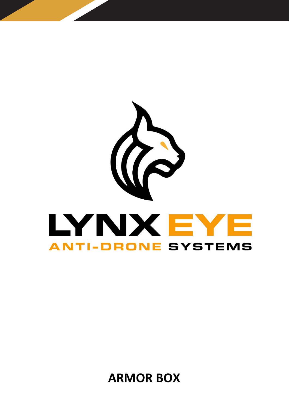

**ARMOR BOX**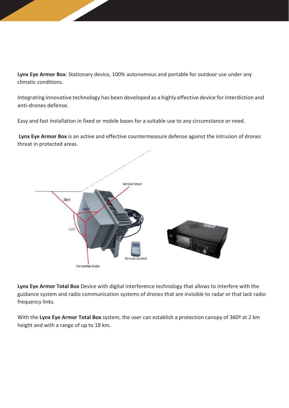**Lynx Eye Armor Box**: Stationary device, 100% autonomous and portable for outdoor use under any climatic conditions.

Integrating innovative technology has been developed as a highly effective device for interdiction and anti-drones defense.

Easy and fast installation in fixed or mobile bases for a suitable use to any circumstance or need.

**Lynx Eye Armor Box** is an active and effective countermeasure defense against the intrusion of drones threat in protected areas.



**Lynx Eye Armor Total Box** Device with digital interference technology that allows to interfere with the guidance system and radio communication systems of drones that are invisible to radar or that lack radio frequency links.

With the **Lynx Eye Armor Total Box** system, the user can establish a protection canopy of 360º at 2 km height and with a range of up to 18 km.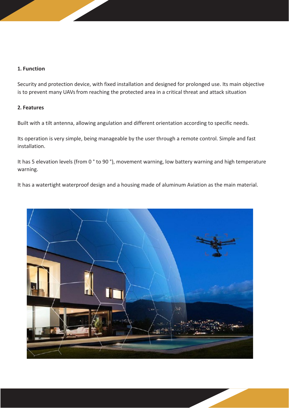## **1. Function**

Security and protection device, with fixed installation and designed for prolonged use. Its main objective is to prevent many UAVs from reaching the protected area in a critical threat and attack situation

### **2. Features**

Built with a tilt antenna, allowing angulation and different orientation according to specific needs.

Its operation is very simple, being manageable by the user through a remote control. Simple and fast installation.

It has 5 elevation levels (from 0 ° to 90 °), movement warning, low battery warning and high temperature warning.

It has a watertight waterproof design and a housing made of aluminum Aviation as the main material.

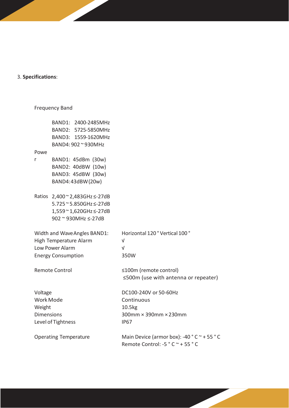#### 3. **Specifications**:

# Frequency Band BAND1: 2400-2485MHz BAND2: 5725-5850MHz BAND3: 1559-1620MHz BAND4: 902 ~ 930MHz Powe r Ratios 2,400 ~ 2,483GHz ≤-27dB BAND1: 45dBm (30w) BAND2: 40dBW (10w) BAND3: 45dBW (30w) BAND4:43dBW(20w) 5.725 ~ 5.850GHz ≤-27dB 1,559 ~ 1,620GHz ≤-27dB 902 ~ 930MHz ≤-27dB Width and WaveAngles BAND1: Horizontal 120 ° Vertical 100 ° High Temperature Alarm V Low Power Alarm √ Energy Consumption 350W Remote Control ≤100m (remote control) ≤500m (use with antenna or repeater) Voltage DC100-240V or 50-60Hz Work Mode **Continuous** Weight 10.5kg Dimensions 300mm × 390mm × 230mm Level of Tightness IP67 Operating Temperature Main Device (armor box): -40 ° C ~ + 55 °C Remote Control: -5 ° C ~ + 55 ° C